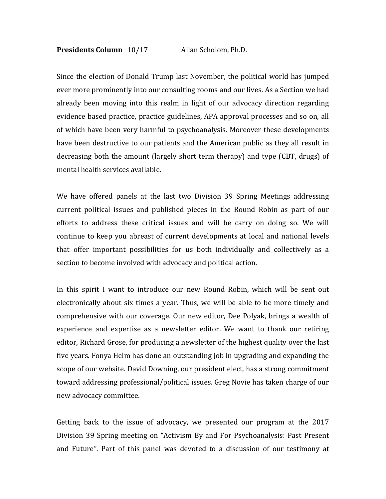## **Presidents Column** 10/17 Allan Scholom, Ph.D.

Since the election of Donald Trump last November, the political world has jumped ever more prominently into our consulting rooms and our lives. As a Section we had already been moving into this realm in light of our advocacy direction regarding evidence based practice, practice guidelines, APA approval processes and so on, all of which have been very harmful to psychoanalysis. Moreover these developments have been destructive to our patients and the American public as they all result in decreasing both the amount (largely short term therapy) and type (CBT, drugs) of mental health services available.

We have offered panels at the last two Division 39 Spring Meetings addressing current political issues and published pieces in the Round Robin as part of our efforts to address these critical issues and will be carry on doing so. We will continue to keep you abreast of current developments at local and national levels that offer important possibilities for us both individually and collectively as a section to become involved with advocacy and political action.

In this spirit I want to introduce our new Round Robin, which will be sent out electronically about six times a year. Thus, we will be able to be more timely and comprehensive with our coverage. Our new editor, Dee Polyak, brings a wealth of experience and expertise as a newsletter editor. We want to thank our retiring editor, Richard Grose, for producing a newsletter of the highest quality over the last five years. Fonya Helm has done an outstanding job in upgrading and expanding the scope of our website. David Downing, our president elect, has a strong commitment toward addressing professional/political issues. Greg Novie has taken charge of our new advocacy committee.

Getting back to the issue of advocacy, we presented our program at the 2017 Division 39 Spring meeting on "Activism By and For Psychoanalysis: Past Present and Future". Part of this panel was devoted to a discussion of our testimony at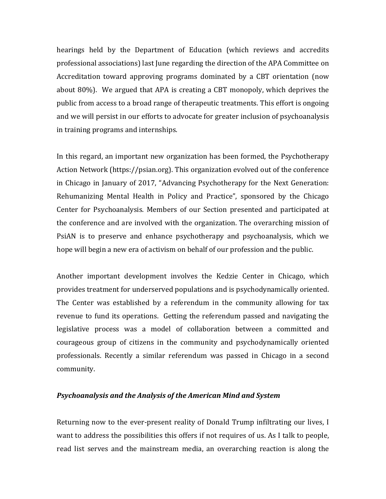hearings held by the Department of Education (which reviews and accredits professional associations) last June regarding the direction of the APA Committee on Accreditation toward approving programs dominated by a CBT orientation (now about 80%). We argued that APA is creating a CBT monopoly, which deprives the public from access to a broad range of therapeutic treatments. This effort is ongoing and we will persist in our efforts to advocate for greater inclusion of psychoanalysis in training programs and internships.

In this regard, an important new organization has been formed, the Psychotherapy Action Network (https://psian.org). This organization evolved out of the conference in Chicago in January of 2017, "Advancing Psychotherapy for the Next Generation: Rehumanizing Mental Health in Policy and Practice", sponsored by the Chicago Center for Psychoanalysis. Members of our Section presented and participated at the conference and are involved with the organization. The overarching mission of PsiAN is to preserve and enhance psychotherapy and psychoanalysis, which we hope will begin a new era of activism on behalf of our profession and the public.

Another important development involves the Kedzie Center in Chicago, which provides treatment for underserved populations and is psychodynamically oriented. The Center was established by a referendum in the community allowing for tax revenue to fund its operations. Getting the referendum passed and navigating the legislative process was a model of collaboration between a committed and courageous group of citizens in the community and psychodynamically oriented professionals. Recently a similar referendum was passed in Chicago in a second community.

## **Psychoanalysis and the Analysis of the American Mind and System**

Returning now to the ever-present reality of Donald Trump infiltrating our lives, I want to address the possibilities this offers if not requires of us. As I talk to people, read list serves and the mainstream media, an overarching reaction is along the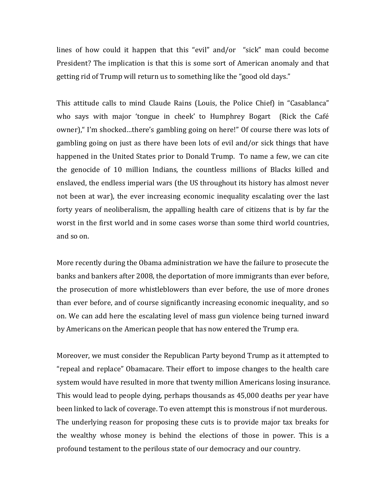lines of how could it happen that this "evil" and/or "sick" man could become President? The implication is that this is some sort of American anomaly and that getting rid of Trump will return us to something like the "good old days."

This attitude calls to mind Claude Rains (Louis, the Police Chief) in "Casablanca" who says with major 'tongue in cheek' to Humphrey Bogart (Rick the Café owner), "I'm shocked...there's gambling going on here!" Of course there was lots of gambling going on just as there have been lots of evil and/or sick things that have happened in the United States prior to Donald Trump. To name a few, we can cite the genocide of 10 million Indians, the countless millions of Blacks killed and enslaved, the endless imperial wars (the US throughout its history has almost never not been at war), the ever increasing economic inequality escalating over the last forty years of neoliberalism, the appalling health care of citizens that is by far the worst in the first world and in some cases worse than some third world countries, and so on.

More recently during the Obama administration we have the failure to prosecute the banks and bankers after 2008, the deportation of more immigrants than ever before, the prosecution of more whistleblowers than ever before, the use of more drones than ever before, and of course significantly increasing economic inequality, and so on. We can add here the escalating level of mass gun violence being turned inward by Americans on the American people that has now entered the Trump era.

Moreover, we must consider the Republican Party beyond Trump as it attempted to "repeal and replace" Obamacare. Their effort to impose changes to the health care system would have resulted in more that twenty million Americans losing insurance. This would lead to people dying, perhaps thousands as 45,000 deaths per year have been linked to lack of coverage. To even attempt this is monstrous if not murderous. The underlying reason for proposing these cuts is to provide major tax breaks for the wealthy whose money is behind the elections of those in power. This is a profound testament to the perilous state of our democracy and our country.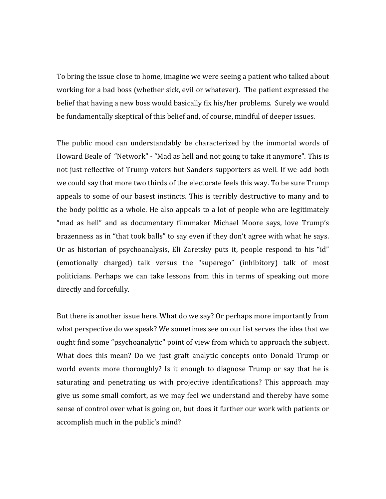To bring the issue close to home, imagine we were seeing a patient who talked about working for a bad boss (whether sick, evil or whatever). The patient expressed the belief that having a new boss would basically fix his/her problems. Surely we would be fundamentally skeptical of this belief and, of course, mindful of deeper issues.

The public mood can understandably be characterized by the immortal words of Howard Beale of "Network" - "Mad as hell and not going to take it anymore". This is not just reflective of Trump voters but Sanders supporters as well. If we add both we could say that more two thirds of the electorate feels this way. To be sure Trump appeals to some of our basest instincts. This is terribly destructive to many and to the body politic as a whole. He also appeals to a lot of people who are legitimately "mad as hell" and as documentary filmmaker Michael Moore says, love Trump's brazenness as in "that took balls" to say even if they don't agree with what he says. Or as historian of psychoanalysis, Eli Zaretsky puts it, people respond to his "id" (emotionally charged) talk versus the "superego" (inhibitory) talk of most politicians. Perhaps we can take lessons from this in terms of speaking out more directly and forcefully.

But there is another issue here. What do we say? Or perhaps more importantly from what perspective do we speak? We sometimes see on our list serves the idea that we ought find some "psychoanalytic" point of view from which to approach the subject. What does this mean? Do we just graft analytic concepts onto Donald Trump or world events more thoroughly? Is it enough to diagnose Trump or say that he is saturating and penetrating us with projective identifications? This approach may give us some small comfort, as we may feel we understand and thereby have some sense of control over what is going on, but does it further our work with patients or accomplish much in the public's mind?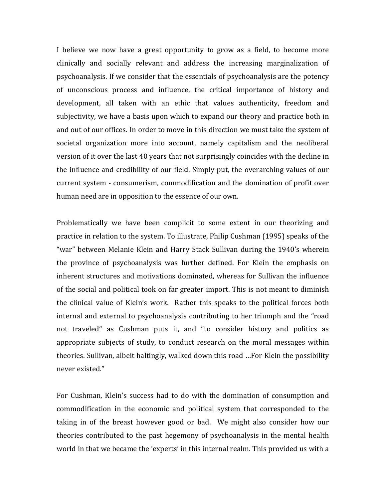I believe we now have a great opportunity to grow as a field, to become more clinically and socially relevant and address the increasing marginalization of psychoanalysis. If we consider that the essentials of psychoanalysis are the potency of unconscious process and influence, the critical importance of history and development, all taken with an ethic that values authenticity, freedom and subjectivity, we have a basis upon which to expand our theory and practice both in and out of our offices. In order to move in this direction we must take the system of societal organization more into account, namely capitalism and the neoliberal version of it over the last 40 years that not surprisingly coincides with the decline in the influence and credibility of our field. Simply put, the overarching values of our current system - consumerism, commodification and the domination of profit over human need are in opposition to the essence of our own.

Problematically we have been complicit to some extent in our theorizing and practice in relation to the system. To illustrate, Philip Cushman (1995) speaks of the "war" between Melanie Klein and Harry Stack Sullivan during the 1940's wherein the province of psychoanalysis was further defined. For Klein the emphasis on inherent structures and motivations dominated, whereas for Sullivan the influence of the social and political took on far greater import. This is not meant to diminish the clinical value of Klein's work. Rather this speaks to the political forces both internal and external to psychoanalysis contributing to her triumph and the "road" not traveled" as Cushman puts it, and "to consider history and politics as appropriate subjects of study, to conduct research on the moral messages within theories. Sullivan, albeit haltingly, walked down this road ...For Klein the possibility never existed."

For Cushman, Klein's success had to do with the domination of consumption and commodification in the economic and political system that corresponded to the taking in of the breast however good or bad. We might also consider how our theories contributed to the past hegemony of psychoanalysis in the mental health world in that we became the 'experts' in this internal realm. This provided us with a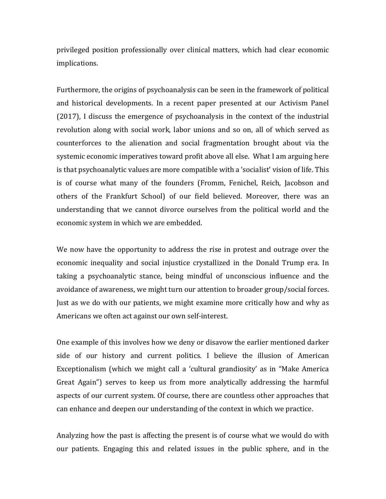privileged position professionally over clinical matters, which had clear economic implications.

Furthermore, the origins of psychoanalysis can be seen in the framework of political and historical developments. In a recent paper presented at our Activism Panel  $(2017)$ , I discuss the emergence of psychoanalysis in the context of the industrial revolution along with social work, labor unions and so on, all of which served as counterforces to the alienation and social fragmentation brought about via the systemic economic imperatives toward profit above all else. What I am arguing here is that psychoanalytic values are more compatible with a 'socialist' vision of life. This is of course what many of the founders (Fromm, Fenichel, Reich, Jacobson and others of the Frankfurt School) of our field believed. Moreover, there was an understanding that we cannot divorce ourselves from the political world and the economic system in which we are embedded.

We now have the opportunity to address the rise in protest and outrage over the economic inequality and social injustice crystallized in the Donald Trump era. In taking a psychoanalytic stance, being mindful of unconscious influence and the avoidance of awareness, we might turn our attention to broader group/social forces. Just as we do with our patients, we might examine more critically how and why as Americans we often act against our own self-interest.

One example of this involves how we deny or disavow the earlier mentioned darker side of our history and current politics. I believe the illusion of American Exceptionalism (which we might call a 'cultural grandiosity' as in "Make America" Great Again") serves to keep us from more analytically addressing the harmful aspects of our current system. Of course, there are countless other approaches that can enhance and deepen our understanding of the context in which we practice.

Analyzing how the past is affecting the present is of course what we would do with our patients. Engaging this and related issues in the public sphere, and in the